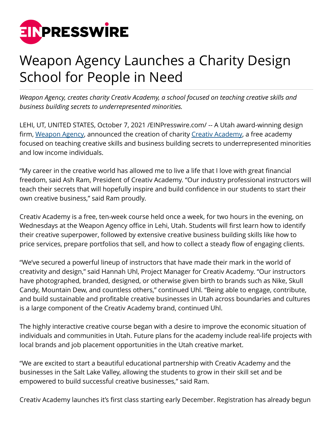

## Weapon Agency Launches a Charity Design School for People in Need

*Weapon Agency, creates charity Creativ Academy, a school focused on teaching creative skills and business building secrets to underrepresented minorities.*

LEHI, UT, UNITED STATES, October 7, 2021 /[EINPresswire.com/](http://www.einpresswire.com) -- A Utah award-winning design firm, [Weapon Agency](http://www.weaponagency.com), announced the creation of charity [Creativ Academy,](http://www.creativacademy.org) a free academy focused on teaching creative skills and business building secrets to underrepresented minorities and low income individuals.

"My career in the creative world has allowed me to live a life that I love with great financial freedom, said Ash Ram, President of Creativ Academy. "Our industry professional instructors will teach their secrets that will hopefully inspire and build confidence in our students to start their own creative business," said Ram proudly.

Creativ Academy is a free, ten-week course held once a week, for two hours in the evening, on Wednesdays at the Weapon Agency office in Lehi, Utah. Students will first learn how to identify their creative superpower, followed by extensive creative business building skills like how to price services, prepare portfolios that sell, and how to collect a steady flow of engaging clients.

"We've secured a powerful lineup of instructors that have made their mark in the world of creativity and design," said Hannah Uhl, Project Manager for Creativ Academy. "Our instructors have photographed, branded, designed, or otherwise given birth to brands such as Nike, Skull Candy, Mountain Dew, and countless others," continued Uhl. "Being able to engage, contribute, and build sustainable and profitable creative businesses in Utah across boundaries and cultures is a large component of the Creativ Academy brand, continued Uhl.

The highly interactive creative course began with a desire to improve the economic situation of individuals and communities in Utah. Future plans for the academy include real-life projects with local brands and job placement opportunities in the Utah creative market.

"We are excited to start a beautiful educational partnership with Creativ Academy and the businesses in the Salt Lake Valley, allowing the students to grow in their skill set and be empowered to build successful creative businesses," said Ram.

Creativ Academy launches it's first class starting early December. Registration has already begun